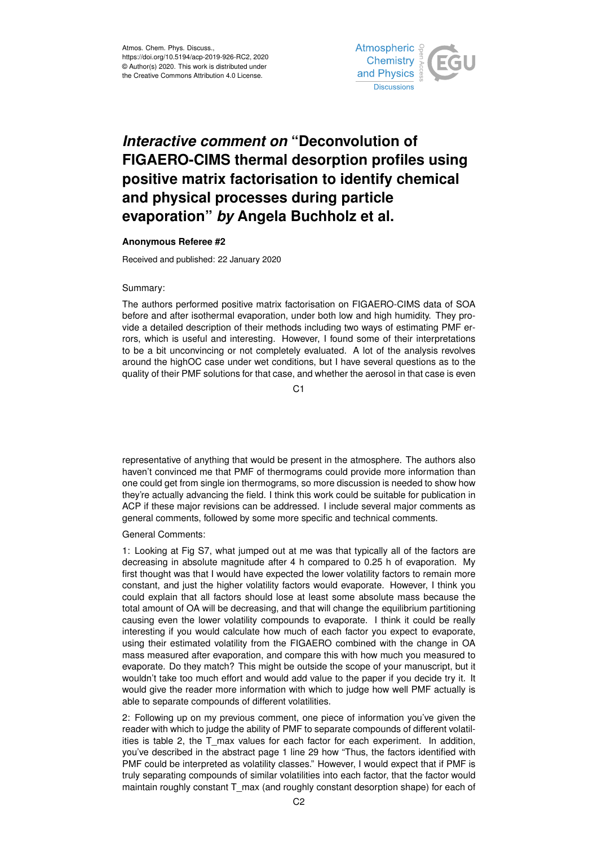

## *Interactive comment on* **"Deconvolution of FIGAERO-CIMS thermal desorption profiles using positive matrix factorisation to identify chemical and physical processes during particle evaporation"** *by* **Angela Buchholz et al.**

## **Anonymous Referee #2**

Received and published: 22 January 2020

## Summary:

The authors performed positive matrix factorisation on FIGAERO-CIMS data of SOA before and after isothermal evaporation, under both low and high humidity. They provide a detailed description of their methods including two ways of estimating PMF errors, which is useful and interesting. However, I found some of their interpretations to be a bit unconvincing or not completely evaluated. A lot of the analysis revolves around the highOC case under wet conditions, but I have several questions as to the quality of their PMF solutions for that case, and whether the aerosol in that case is even

C<sub>1</sub>

representative of anything that would be present in the atmosphere. The authors also haven't convinced me that PMF of thermograms could provide more information than one could get from single ion thermograms, so more discussion is needed to show how they're actually advancing the field. I think this work could be suitable for publication in ACP if these major revisions can be addressed. I include several major comments as general comments, followed by some more specific and technical comments.

## General Comments:

1: Looking at Fig S7, what jumped out at me was that typically all of the factors are decreasing in absolute magnitude after 4 h compared to 0.25 h of evaporation. My first thought was that I would have expected the lower volatility factors to remain more constant, and just the higher volatility factors would evaporate. However, I think you could explain that all factors should lose at least some absolute mass because the total amount of OA will be decreasing, and that will change the equilibrium partitioning causing even the lower volatility compounds to evaporate. I think it could be really interesting if you would calculate how much of each factor you expect to evaporate, using their estimated volatility from the FIGAERO combined with the change in OA mass measured after evaporation, and compare this with how much you measured to evaporate. Do they match? This might be outside the scope of your manuscript, but it wouldn't take too much effort and would add value to the paper if you decide try it. It would give the reader more information with which to judge how well PMF actually is able to separate compounds of different volatilities.

2: Following up on my previous comment, one piece of information you've given the reader with which to judge the ability of PMF to separate compounds of different volatilities is table 2, the T\_max values for each factor for each experiment. In addition, you've described in the abstract page 1 line 29 how "Thus, the factors identified with PMF could be interpreted as volatility classes." However, I would expect that if PMF is truly separating compounds of similar volatilities into each factor, that the factor would maintain roughly constant T\_max (and roughly constant desorption shape) for each of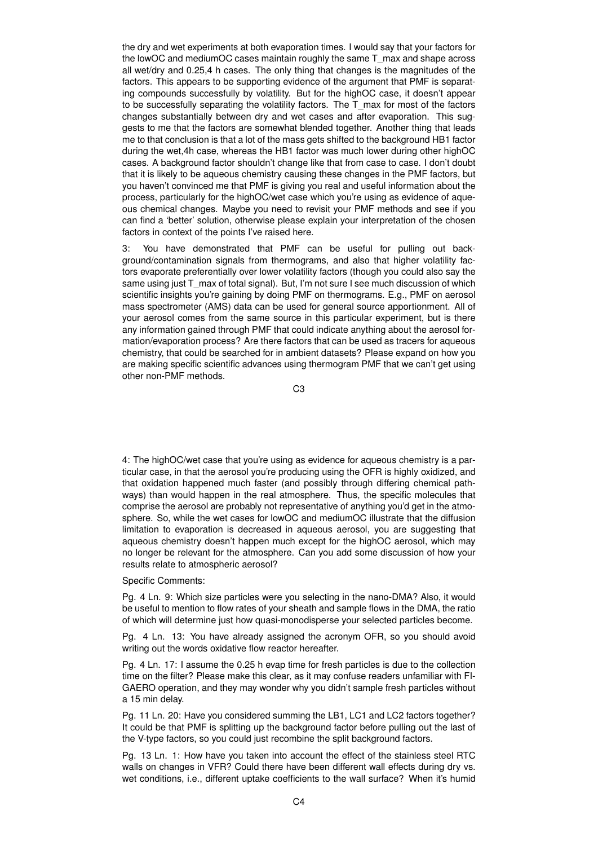the dry and wet experiments at both evaporation times. I would say that your factors for the lowOC and mediumOC cases maintain roughly the same T\_max and shape across all wet/dry and 0.25,4 h cases. The only thing that changes is the magnitudes of the factors. This appears to be supporting evidence of the argument that PMF is separating compounds successfully by volatility. But for the highOC case, it doesn't appear to be successfully separating the volatility factors. The T\_max for most of the factors changes substantially between dry and wet cases and after evaporation. This suggests to me that the factors are somewhat blended together. Another thing that leads me to that conclusion is that a lot of the mass gets shifted to the background HB1 factor during the wet,4h case, whereas the HB1 factor was much lower during other highOC cases. A background factor shouldn't change like that from case to case. I don't doubt that it is likely to be aqueous chemistry causing these changes in the PMF factors, but you haven't convinced me that PMF is giving you real and useful information about the process, particularly for the highOC/wet case which you're using as evidence of aqueous chemical changes. Maybe you need to revisit your PMF methods and see if you can find a 'better' solution, otherwise please explain your interpretation of the chosen factors in context of the points I've raised here.

3: You have demonstrated that PMF can be useful for pulling out background/contamination signals from thermograms, and also that higher volatility factors evaporate preferentially over lower volatility factors (though you could also say the same using just T\_max of total signal). But, I'm not sure I see much discussion of which scientific insights you're gaining by doing PMF on thermograms. E.g., PMF on aerosol mass spectrometer (AMS) data can be used for general source apportionment. All of your aerosol comes from the same source in this particular experiment, but is there any information gained through PMF that could indicate anything about the aerosol formation/evaporation process? Are there factors that can be used as tracers for aqueous chemistry, that could be searched for in ambient datasets? Please expand on how you are making specific scientific advances using thermogram PMF that we can't get using other non-PMF methods.

C3

4: The highOC/wet case that you're using as evidence for aqueous chemistry is a particular case, in that the aerosol you're producing using the OFR is highly oxidized, and that oxidation happened much faster (and possibly through differing chemical pathways) than would happen in the real atmosphere. Thus, the specific molecules that comprise the aerosol are probably not representative of anything you'd get in the atmosphere. So, while the wet cases for lowOC and mediumOC illustrate that the diffusion limitation to evaporation is decreased in aqueous aerosol, you are suggesting that aqueous chemistry doesn't happen much except for the highOC aerosol, which may no longer be relevant for the atmosphere. Can you add some discussion of how your results relate to atmospheric aerosol?

Specific Comments:

Pg. 4 Ln. 9: Which size particles were you selecting in the nano-DMA? Also, it would be useful to mention to flow rates of your sheath and sample flows in the DMA, the ratio of which will determine just how quasi-monodisperse your selected particles become.

Pg. 4 Ln. 13: You have already assigned the acronym OFR, so you should avoid writing out the words oxidative flow reactor hereafter.

Pg. 4 Ln. 17: I assume the 0.25 h evap time for fresh particles is due to the collection time on the filter? Please make this clear, as it may confuse readers unfamiliar with FI-GAERO operation, and they may wonder why you didn't sample fresh particles without a 15 min delay.

Pg. 11 Ln. 20: Have you considered summing the LB1, LC1 and LC2 factors together? It could be that PMF is splitting up the background factor before pulling out the last of the V-type factors, so you could just recombine the split background factors.

Pg. 13 Ln. 1: How have you taken into account the effect of the stainless steel RTC walls on changes in VFR? Could there have been different wall effects during dry vs. wet conditions, i.e., different uptake coefficients to the wall surface? When it's humid